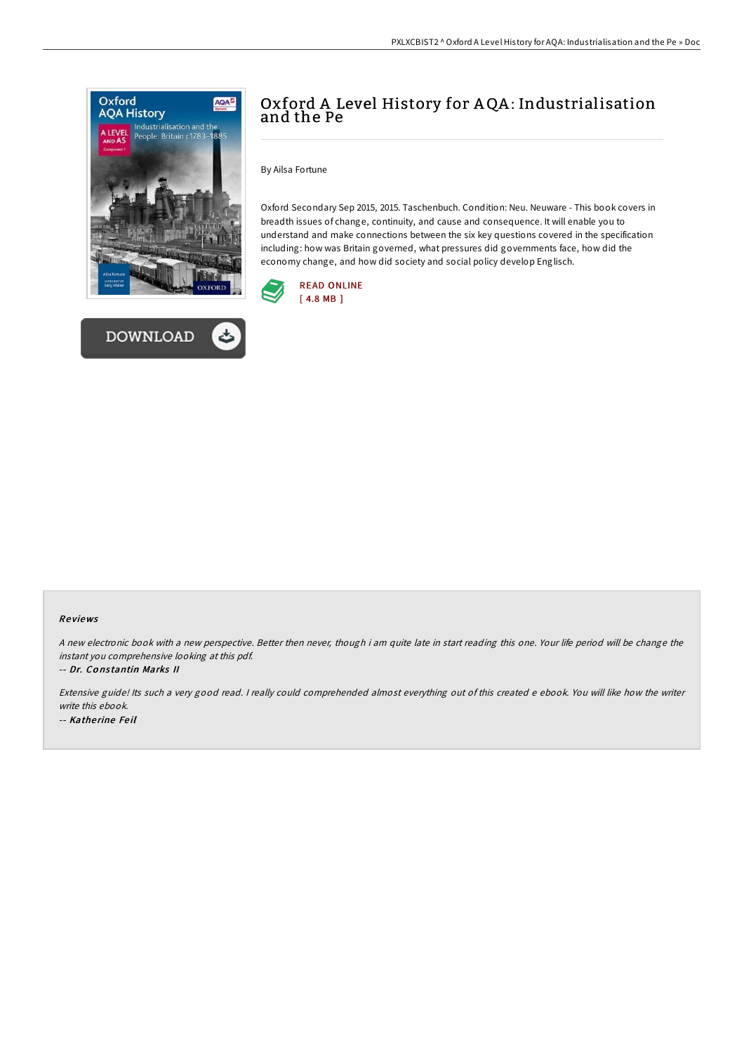



# Oxford A Level History for AQA: Industrialisation and the Pe

By Ailsa Fortune

Oxford Secondary Sep 2015, 2015. Taschenbuch. Condition: Neu. Neuware - This book covers in breadth issues of change, continuity, and cause and consequence. It will enable you to understand and make connections between the six key questions covered in the specification including: how was Britain governed, what pressures did governments face, how did the economy change, and how did society and social policy develop Englisch.



### Re views

<sup>A</sup> new electronic book with <sup>a</sup> new perspective. Better then never, though i am quite late in start reading this one. Your life period will be change the instant you comprehensive looking at this pdf.

-- Dr. Co ns tantin Marks II

Extensive guide! Its such <sup>a</sup> very good read. <sup>I</sup> really could comprehended almost everything out of this created <sup>e</sup> ebook. You will like how the writer write this ebook. -- Katherine Feil